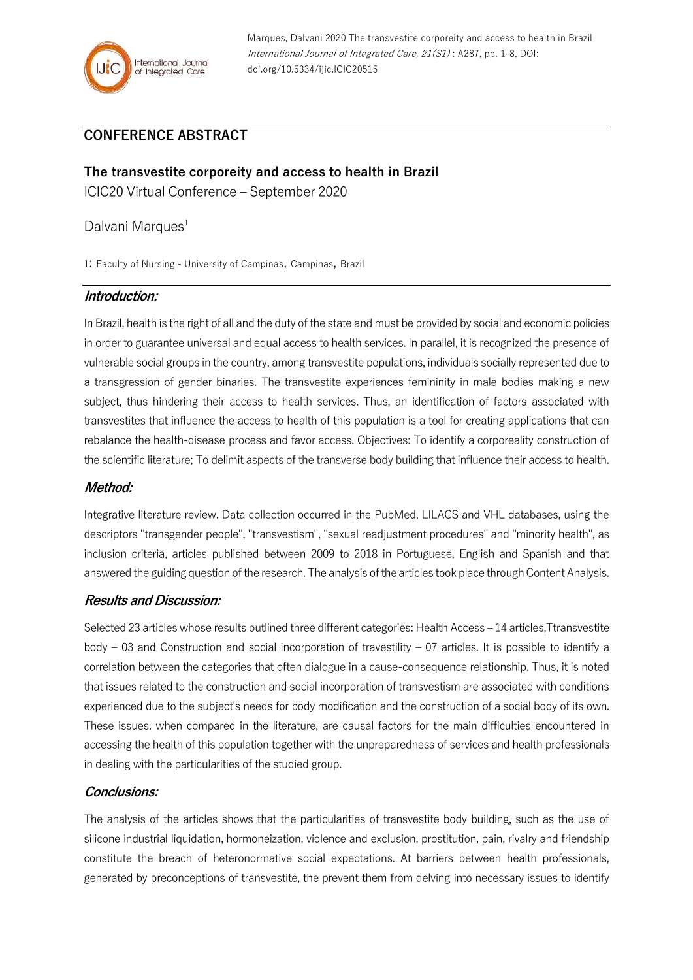

Marques, Dalvani 2020 The transvestite corporeity and access to health in Brazil International Journal of Integrated Care, 21(S1) : A287, pp. 1-8, DOI: doi.org/10.5334/ijic.ICIC20515

# **CONFERENCE ABSTRACT**

**The transvestite corporeity and access to health in Brazil** ICIC20 Virtual Conference – September 2020

Dalvani Marques<sup>1</sup>

1: Faculty of Nursing - University of Campinas, Campinas, Brazil

#### **Introduction:**

In Brazil, health is the right of all and the duty of the state and must be provided by social and economic policies in order to guarantee universal and equal access to health services. In parallel, it is recognized the presence of vulnerable social groups in the country, among transvestite populations, individuals socially represented due to a transgression of gender binaries. The transvestite experiences femininity in male bodies making a new subject, thus hindering their access to health services. Thus, an identification of factors associated with transvestites that influence the access to health of this population is a tool for creating applications that can rebalance the health-disease process and favor access. Objectives: To identify a corporeality construction of the scientific literature; To delimit aspects of the transverse body building that influence their access to health.

## **Method:**

Integrative literature review. Data collection occurred in the PubMed, LILACS and VHL databases, using the descriptors "transgender people", "transvestism", "sexual readjustment procedures" and "minority health", as inclusion criteria, articles published between 2009 to 2018 in Portuguese, English and Spanish and that answered the guiding question of the research. The analysis of the articles took place through Content Analysis.

#### **Results and Discussion:**

Selected 23 articles whose results outlined three different categories: Health Access – 14 articles,Ttransvestite body – 03 and Construction and social incorporation of travestility – 07 articles. It is possible to identify a correlation between the categories that often dialogue in a cause-consequence relationship. Thus, it is noted that issues related to the construction and social incorporation of transvestism are associated with conditions experienced due to the subject's needs for body modification and the construction of a social body of its own. These issues, when compared in the literature, are causal factors for the main difficulties encountered in accessing the health of this population together with the unpreparedness of services and health professionals in dealing with the particularities of the studied group.

#### **Conclusions:**

The analysis of the articles shows that the particularities of transvestite body building, such as the use of silicone industrial liquidation, hormoneization, violence and exclusion, prostitution, pain, rivalry and friendship constitute the breach of heteronormative social expectations. At barriers between health professionals, generated by preconceptions of transvestite, the prevent them from delving into necessary issues to identify